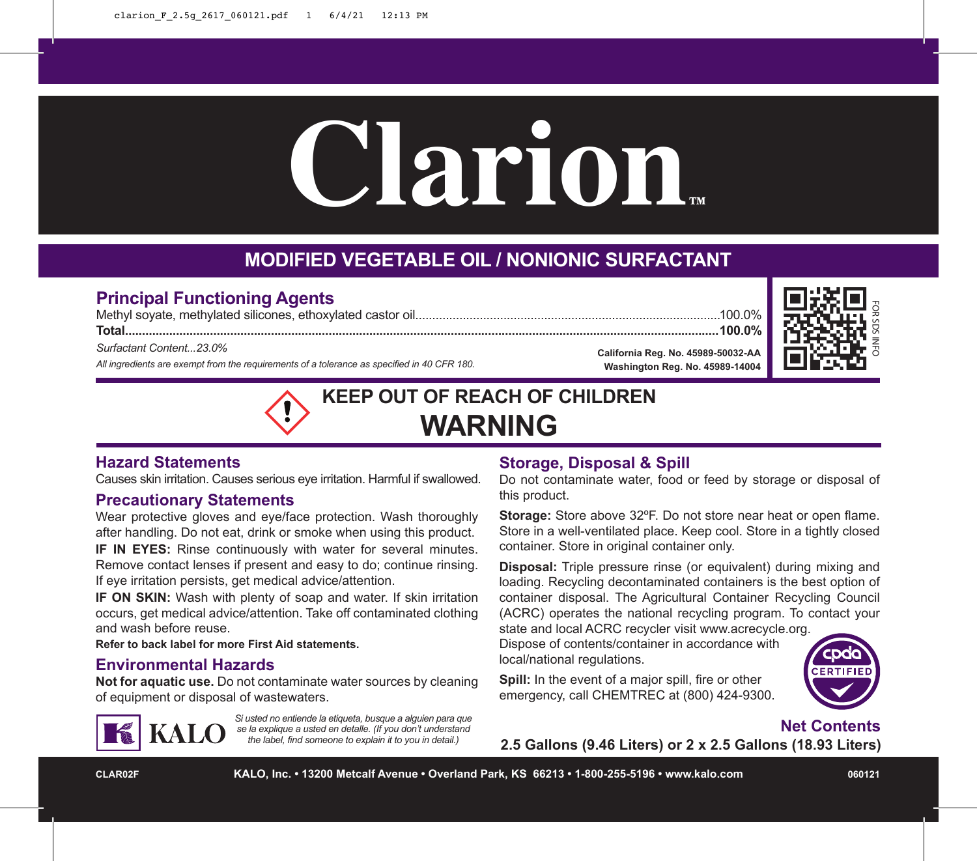# Clarion

### **MODIFIED VEGETABLE OIL / NONIONIC SURFACTANT**

#### **Principal Functioning Agents**

Methyl soyate, methylated silicones, ethoxylated castor oil..........................................................................................100.0% **Total...............................................................................................................................................................................100.0%**

*Surfactant Content...23.0%*

*All ingredients are exempt from the requirements of a tolerance as specified in 40 CFR 180.*

## **KEEP OUT OF REACH OF CHILDREN WARNING**

#### **Hazard Statements**

Causes skin irritation. Causes serious eye irritation. Harmful if swallowed.

#### **Precautionary Statements**

Wear protective gloves and eye/face protection. Wash thoroughly after handling. Do not eat, drink or smoke when using this product.

**IF IN EYES:** Rinse continuously with water for several minutes. Remove contact lenses if present and easy to do; continue rinsing. If eye irritation persists, get medical advice/attention.

**IF ON SKIN:** Wash with plenty of soap and water. If skin irritation occurs, get medical advice/attention. Take off contaminated clothing and wash before reuse.

**Refer to back label for more First Aid statements.**

#### **Environmental Hazards**

**Not for aquatic use.** Do not contaminate water sources by cleaning of equipment or disposal of wastewaters.



*Si usted no entiende la etiqueta, busque a alguien para que*  **KALO** se la explique a usted en detaile. (If you don't understand *the label, find someone to explain it to you in detail.)*

#### **Storage, Disposal & Spill**

Do not contaminate water, food or feed by storage or disposal of this product.

**California Reg. No. 45989-50032-AA**

**Washington Reg. No. 45989-14004**

**Storage:** Store above 32ºF. Do not store near heat or open flame. Store in a well-ventilated place. Keep cool. Store in a tightly closed container. Store in original container only.

**Disposal:** Triple pressure rinse (or equivalent) during mixing and loading. Recycling decontaminated containers is the best option of container disposal. The Agricultural Container Recycling Council (ACRC) operates the national recycling program. To contact your

state and local ACRC recycler visit www.acrecycle.org. Dispose of contents/container in accordance with local/national regulations.

**Spill:** In the event of a major spill, fire or other emergency, call CHEMTREC at (800) 424-9300.



#### **Net Contents**

**2.5 Gallons (9.46 Liters) or 2 x 2.5 Gallons (18.93 Liters)**

**CLAR02F KALO, Inc. • 13200 Metcalf Avenue • Overland Park, KS 66213 • 1-800-255-5196 • www.kalo.com 060121**